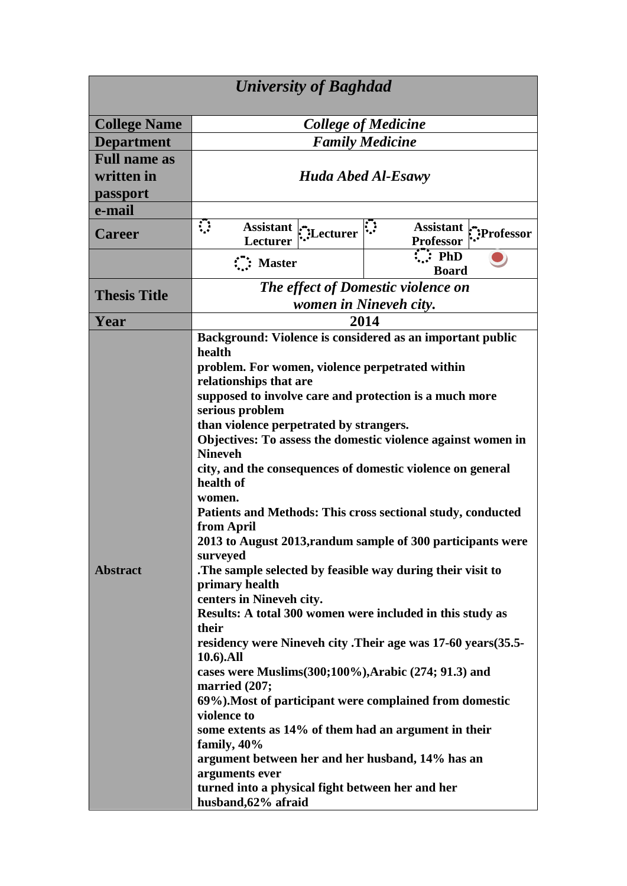| <b>University of Baghdad</b>                  |                                                                                                                                                                                                                                                                                                                                                                                                                                                                                                                                                                                                                                                                                                                                                                                                                                                                                                                                                                                                                                                                                                                                                              |                      |                                                    |  |
|-----------------------------------------------|--------------------------------------------------------------------------------------------------------------------------------------------------------------------------------------------------------------------------------------------------------------------------------------------------------------------------------------------------------------------------------------------------------------------------------------------------------------------------------------------------------------------------------------------------------------------------------------------------------------------------------------------------------------------------------------------------------------------------------------------------------------------------------------------------------------------------------------------------------------------------------------------------------------------------------------------------------------------------------------------------------------------------------------------------------------------------------------------------------------------------------------------------------------|----------------------|----------------------------------------------------|--|
| <b>College Name</b>                           | <b>College of Medicine</b>                                                                                                                                                                                                                                                                                                                                                                                                                                                                                                                                                                                                                                                                                                                                                                                                                                                                                                                                                                                                                                                                                                                                   |                      |                                                    |  |
| <b>Department</b>                             | <b>Family Medicine</b>                                                                                                                                                                                                                                                                                                                                                                                                                                                                                                                                                                                                                                                                                                                                                                                                                                                                                                                                                                                                                                                                                                                                       |                      |                                                    |  |
| <b>Full name as</b><br>written in<br>passport | <b>Huda Abed Al-Esawy</b>                                                                                                                                                                                                                                                                                                                                                                                                                                                                                                                                                                                                                                                                                                                                                                                                                                                                                                                                                                                                                                                                                                                                    |                      |                                                    |  |
| e-mail                                        |                                                                                                                                                                                                                                                                                                                                                                                                                                                                                                                                                                                                                                                                                                                                                                                                                                                                                                                                                                                                                                                                                                                                                              |                      |                                                    |  |
| <b>Career</b>                                 | $\mathcal{L}$<br><b>Lecturer</b>                                                                                                                                                                                                                                                                                                                                                                                                                                                                                                                                                                                                                                                                                                                                                                                                                                                                                                                                                                                                                                                                                                                             | Assistant : Lecturer | <b>Assistant</b><br>Professor:<br><b>Professor</b> |  |
|                                               | $\therefore$ Master                                                                                                                                                                                                                                                                                                                                                                                                                                                                                                                                                                                                                                                                                                                                                                                                                                                                                                                                                                                                                                                                                                                                          |                      | $\mathbf{F}$ : PhD<br><b>Board</b>                 |  |
| <b>Thesis Title</b>                           | The effect of Domestic violence on<br>women in Nineveh city.                                                                                                                                                                                                                                                                                                                                                                                                                                                                                                                                                                                                                                                                                                                                                                                                                                                                                                                                                                                                                                                                                                 |                      |                                                    |  |
| Year                                          |                                                                                                                                                                                                                                                                                                                                                                                                                                                                                                                                                                                                                                                                                                                                                                                                                                                                                                                                                                                                                                                                                                                                                              |                      |                                                    |  |
| <b>Abstract</b>                               | 2014<br>Background: Violence is considered as an important public<br>health<br>problem. For women, violence perpetrated within<br>relationships that are<br>supposed to involve care and protection is a much more<br>serious problem<br>than violence perpetrated by strangers.<br>Objectives: To assess the domestic violence against women in<br><b>Nineveh</b><br>city, and the consequences of domestic violence on general<br>health of<br>women.<br>Patients and Methods: This cross sectional study, conducted<br>from April<br>2013 to August 2013, randum sample of 300 participants were<br>surveyed<br>The sample selected by feasible way during their visit to<br>primary health<br>centers in Nineveh city.<br>Results: A total 300 women were included in this study as<br>their<br>residency were Nineveh city .Their age was 17-60 years (35.5-<br>10.6).All<br>cases were Muslims(300;100%), Arabic (274; 91.3) and<br>married (207;<br>69%). Most of participant were complained from domestic<br>violence to<br>some extents as 14% of them had an argument in their<br>family, 40%<br>argument between her and her husband, 14% has an |                      |                                                    |  |
|                                               | turned into a physical fight between her and her<br>husband, 62% afraid                                                                                                                                                                                                                                                                                                                                                                                                                                                                                                                                                                                                                                                                                                                                                                                                                                                                                                                                                                                                                                                                                      |                      |                                                    |  |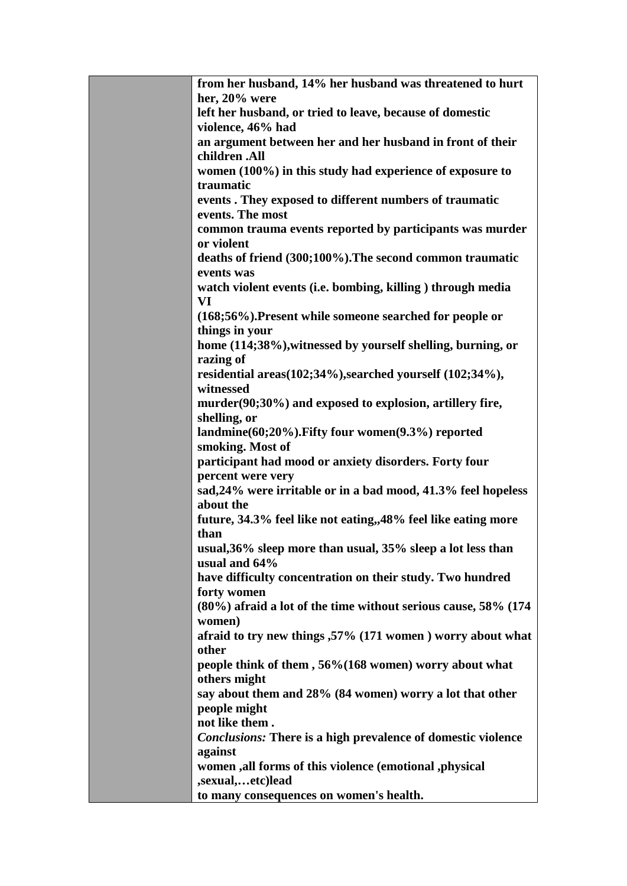| from her husband, 14% her husband was threatened to hurt            |
|---------------------------------------------------------------------|
| her, 20% were                                                       |
| left her husband, or tried to leave, because of domestic            |
| violence, 46% had                                                   |
| an argument between her and her husband in front of their           |
| children .All                                                       |
| women (100%) in this study had experience of exposure to            |
| traumatic                                                           |
| events . They exposed to different numbers of traumatic             |
| events. The most                                                    |
| common trauma events reported by participants was murder            |
| or violent                                                          |
| deaths of friend (300;100%). The second common traumatic            |
| events was                                                          |
| watch violent events (i.e. bombing, killing) through media          |
| VI                                                                  |
| (168;56%). Present while someone searched for people or             |
| things in your                                                      |
| home (114;38%), witnessed by yourself shelling, burning, or         |
| razing of                                                           |
| residential areas(102;34%), searched yourself (102;34%),            |
| witnessed                                                           |
| murder(90;30%) and exposed to explosion, artillery fire,            |
| shelling, or<br>landmine(60;20%). Fifty four women(9.3%) reported   |
| smoking. Most of                                                    |
| participant had mood or anxiety disorders. Forty four               |
| percent were very                                                   |
| sad, 24% were irritable or in a bad mood, 41.3% feel hopeless       |
| about the                                                           |
| future, 34.3% feel like not eating, 48% feel like eating more       |
| than                                                                |
| usual, 36% sleep more than usual, 35% sleep a lot less than         |
| usual and 64%                                                       |
| have difficulty concentration on their study. Two hundred           |
| forty women                                                         |
| (80%) afraid a lot of the time without serious cause, 58% (174)     |
| women)                                                              |
| afraid to try new things ,57% (171 women) worry about what          |
| other                                                               |
| people think of them, 56%(168 women) worry about what               |
| others might                                                        |
| say about them and 28% (84 women) worry a lot that other            |
| people might                                                        |
| not like them.                                                      |
| <b>Conclusions:</b> There is a high prevalence of domestic violence |
| against                                                             |
| women , all forms of this violence (emotional , physical            |
| ,sexual,etc)lead                                                    |
| to many consequences on women's health.                             |